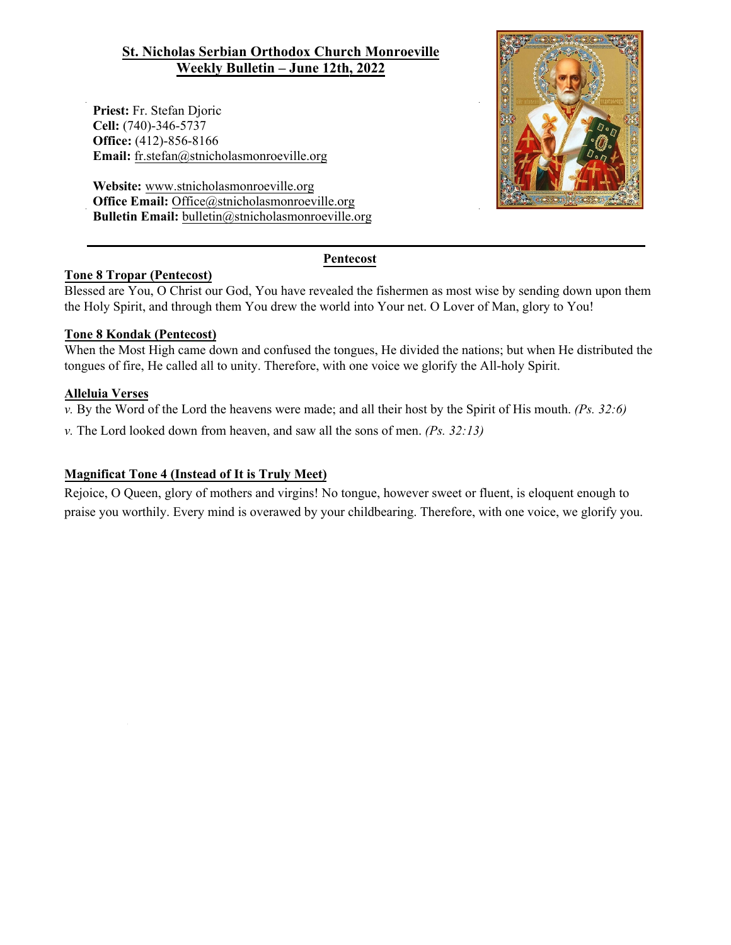# **St. Nicholas Serbian Orthodox Church Monroeville Weekly Bulletin – June 12th, 2022**

**Priest:** Fr. Stefan Djoric **Cell:** (740)-346-5737 **Office:** (412)-856-8166 **Email:** fr.stefan@stnicholasmonroeville.org

**Website:** www.stnicholasmonroeville.org **Office Email:** Office@stnicholasmonroeville.org **Bulletin Email:** bulletin@stnicholasmonroeville.org



## **Pentecost**

## **Tone 8 Tropar (Pentecost)**

Blessed are You, O Christ our God, You have revealed the fishermen as most wise by sending down upon them the Holy Spirit, and through them You drew the world into Your net. O Lover of Man, glory to You!

## **Tone 8 Kondak (Pentecost)**

When the Most High came down and confused the tongues, He divided the nations; but when He distributed the tongues of fire, He called all to unity. Therefore, with one voice we glorify the All-holy Spirit.

#### **Alleluia Verses**

*v.* By the Word of the Lord the heavens were made; and all their host by the Spirit of His mouth. *(Ps. 32:6)*

*v.* The Lord looked down from heaven, and saw all the sons of men. *(Ps. 32:13)*

#### **Magnificat Tone 4 (Instead of It is Truly Meet)**

Rejoice, O Queen, glory of mothers and virgins! No tongue, however sweet or fluent, is eloquent enough to praise you worthily. Every mind is overawed by your childbearing. Therefore, with one voice, we glorify you.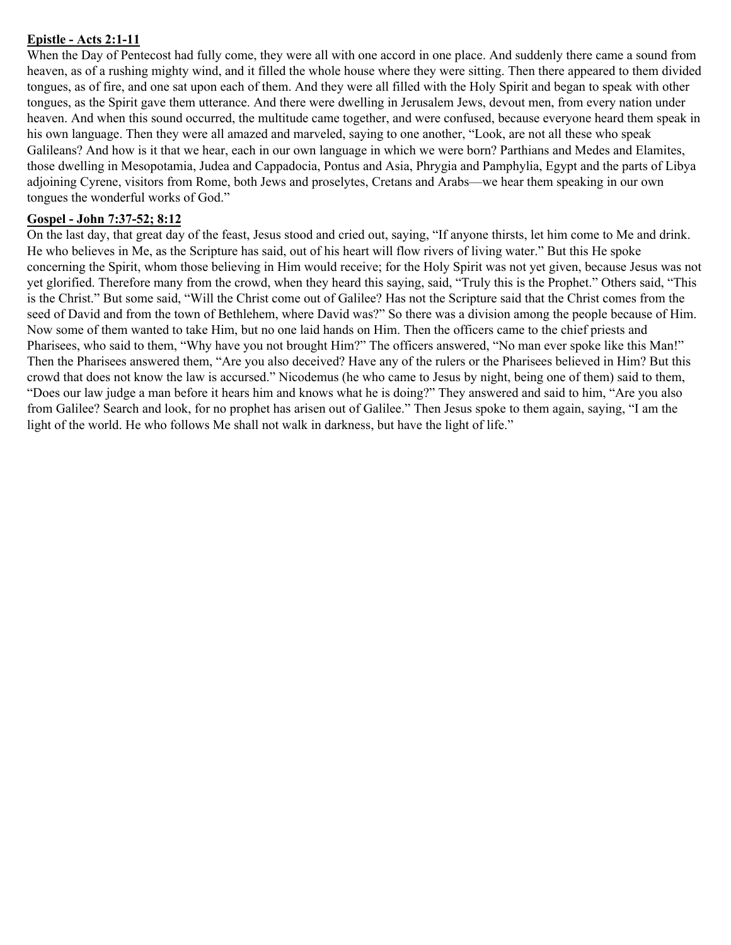# **Epistle - Acts 2:1-11**

When the Day of Pentecost had fully come, they were all with one accord in one place. And suddenly there came a sound from heaven, as of a rushing mighty wind, and it filled the whole house where they were sitting. Then there appeared to them divided tongues, as of fire, and one sat upon each of them. And they were all filled with the Holy Spirit and began to speak with other tongues, as the Spirit gave them utterance. And there were dwelling in Jerusalem Jews, devout men, from every nation under heaven. And when this sound occurred, the multitude came together, and were confused, because everyone heard them speak in his own language. Then they were all amazed and marveled, saying to one another, "Look, are not all these who speak Galileans? And how is it that we hear, each in our own language in which we were born? Parthians and Medes and Elamites, those dwelling in Mesopotamia, Judea and Cappadocia, Pontus and Asia, Phrygia and Pamphylia, Egypt and the parts of Libya adjoining Cyrene, visitors from Rome, both Jews and proselytes, Cretans and Arabs—we hear them speaking in our own tongues the wonderful works of God."

## **Gospel - John 7:37-52; 8:12**

On the last day, that great day of the feast, Jesus stood and cried out, saying, "If anyone thirsts, let him come to Me and drink. He who believes in Me, as the Scripture has said, out of his heart will flow rivers of living water." But this He spoke concerning the Spirit, whom those believing in Him would receive; for the Holy Spirit was not yet given, because Jesus was not yet glorified. Therefore many from the crowd, when they heard this saying, said, "Truly this is the Prophet." Others said, "This is the Christ." But some said, "Will the Christ come out of Galilee? Has not the Scripture said that the Christ comes from the seed of David and from the town of Bethlehem, where David was?" So there was a division among the people because of Him. Now some of them wanted to take Him, but no one laid hands on Him. Then the officers came to the chief priests and Pharisees, who said to them, "Why have you not brought Him?" The officers answered, "No man ever spoke like this Man!" Then the Pharisees answered them, "Are you also deceived? Have any of the rulers or the Pharisees believed in Him? But this crowd that does not know the law is accursed." Nicodemus (he who came to Jesus by night, being one of them) said to them, "Does our law judge a man before it hears him and knows what he is doing?" They answered and said to him, "Are you also from Galilee? Search and look, for no prophet has arisen out of Galilee." Then Jesus spoke to them again, saying, "I am the light of the world. He who follows Me shall not walk in darkness, but have the light of life."